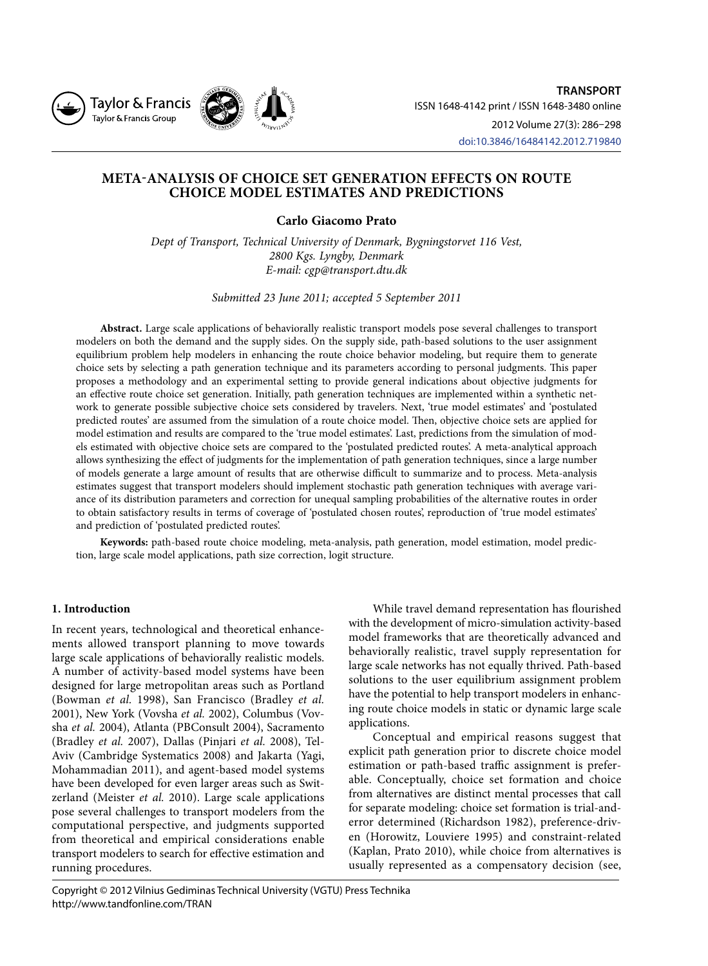

Taylor & Francis Taylor & Francis Group



# **Meta-analysis of choice set generation effects on route choice model estimates and predictions**

**Carlo Giacomo Prato**

*Dept of Transport, Technical University of Denmark, Bygningstorvet 116 Vest, 2800 Kgs. Lyngby, Denmark E-mail: cgp@transport.dtu.dk*

*Submitted 23 June 2011; accepted 5 September 2011*

**Abstract.** Large scale applications of behaviorally realistic transport models pose several challenges to transport modelers on both the demand and the supply sides. On the supply side, path-based solutions to the user assignment equilibrium problem help modelers in enhancing the route choice behavior modeling, but require them to generate choice sets by selecting a path generation technique and its parameters according to personal judgments. This paper proposes a methodology and an experimental setting to provide general indications about objective judgments for an effective route choice set generation. Initially, path generation techniques are implemented within a synthetic network to generate possible subjective choice sets considered by travelers. Next, 'true model estimates' and 'postulated predicted routes' are assumed from the simulation of a route choice model. Then, objective choice sets are applied for model estimation and results are compared to the 'true model estimates'. Last, predictions from the simulation of models estimated with objective choice sets are compared to the 'postulated predicted routes'. A meta-analytical approach allows synthesizing the effect of judgments for the implementation of path generation techniques, since a large number of models generate a large amount of results that are otherwise difficult to summarize and to process. Meta-analysis estimates suggest that transport modelers should implement stochastic path generation techniques with average variance of its distribution parameters and correction for unequal sampling probabilities of the alternative routes in order to obtain satisfactory results in terms of coverage of 'postulated chosen routes', reproduction of 'true model estimates' and prediction of 'postulated predicted routes'.

**Keywords:** path-based route choice modeling, meta-analysis, path generation, model estimation, model prediction, large scale model applications, path size correction, logit structure.

## **1. Introduction**

In recent years, technological and theoretical enhancements allowed transport planning to move towards large scale applications of behaviorally realistic models. A number of activity-based model systems have been designed for large metropolitan areas such as Portland (Bowman *et al.* 1998), San Francisco (Bradley *et al.*  2001), New York (Vovsha *et al.* 2002), Columbus (Vovsha *et al.* 2004), Atlanta (PBConsult 2004), Sacramento (Bradley *et al.* 2007), Dallas (Pinjari *et al.* 2008), Tel-Aviv (Cambridge Systematics 2008) and Jakarta (Yagi, Mohammadian 2011), and agent-based model systems have been developed for even larger areas such as Switzerland (Meister *et al.* 2010). Large scale applications pose several challenges to transport modelers from the computational perspective, and judgments supported from theoretical and empirical considerations enable transport modelers to search for effective estimation and running procedures.

While travel demand representation has flourished with the development of micro-simulation activity-based model frameworks that are theoretically advanced and behaviorally realistic, travel supply representation for large scale networks has not equally thrived. Path-based solutions to the user equilibrium assignment problem have the potential to help transport modelers in enhancing route choice models in static or dynamic large scale applications.

Conceptual and empirical reasons suggest that explicit path generation prior to discrete choice model estimation or path-based traffic assignment is preferable. Conceptually, choice set formation and choice from alternatives are distinct mental processes that call for separate modeling: choice set formation is trial-anderror determined (Richardson 1982), preference-driven (Horowitz, Louviere 1995) and constraint-related (Kaplan, Prato 2010), while choice from alternatives is usually represented as a compensatory decision (see,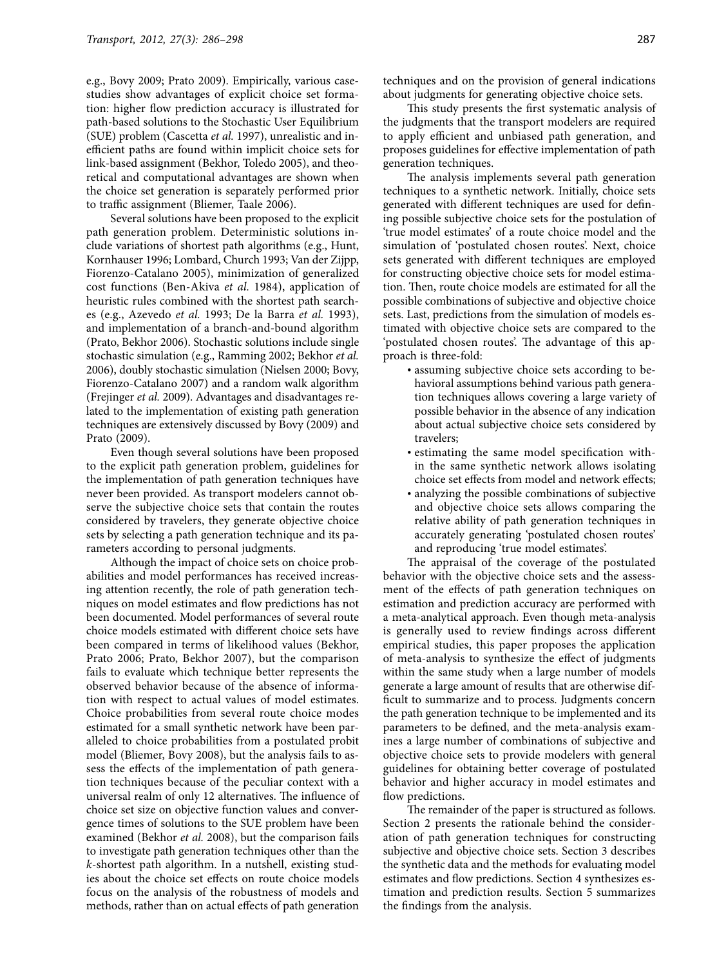e.g., Bovy 2009; Prato 2009). Empirically, various casestudies show advantages of explicit choice set formation: higher flow prediction accuracy is illustrated for path-based solutions to the Stochastic User Equilibrium (SUE) problem (Cascetta *et al.* 1997), unrealistic and inefficient paths are found within implicit choice sets for link-based assignment (Bekhor, Toledo 2005), and theoretical and computational advantages are shown when the choice set generation is separately performed prior to traffic assignment (Bliemer, Taale 2006).

Several solutions have been proposed to the explicit path generation problem. Deterministic solutions include variations of shortest path algorithms (e.g., Hunt, Kornhauser 1996; Lombard, Church 1993; Van der Zijpp, Fiorenzo-Catalano 2005), minimization of generalized cost functions (Ben-Akiva *et al.* 1984), application of heuristic rules combined with the shortest path searches (e.g., Azevedo *et al.* 1993; De la Barra *et al.* 1993), and implementation of a branch-and-bound algorithm (Prato, Bekhor 2006). Stochastic solutions include single stochastic simulation (e.g., Ramming 2002; Bekhor *et al.*  2006), doubly stochastic simulation (Nielsen 2000; Bovy, Fiorenzo-Catalano 2007) and a random walk algorithm (Frejinger *et al.* 2009). Advantages and disadvantages related to the implementation of existing path generation techniques are extensively discussed by Bovy (2009) and Prato (2009).

Even though several solutions have been proposed to the explicit path generation problem, guidelines for the implementation of path generation techniques have never been provided. As transport modelers cannot observe the subjective choice sets that contain the routes considered by travelers, they generate objective choice sets by selecting a path generation technique and its parameters according to personal judgments.

Although the impact of choice sets on choice probabilities and model performances has received increasing attention recently, the role of path generation techniques on model estimates and flow predictions has not been documented. Model performances of several route choice models estimated with different choice sets have been compared in terms of likelihood values (Bekhor, Prato 2006; Prato, Bekhor 2007), but the comparison fails to evaluate which technique better represents the observed behavior because of the absence of information with respect to actual values of model estimates. Choice probabilities from several route choice modes estimated for a small synthetic network have been paralleled to choice probabilities from a postulated probit model (Bliemer, Bovy 2008), but the analysis fails to assess the effects of the implementation of path generation techniques because of the peculiar context with a universal realm of only 12 alternatives. The influence of choice set size on objective function values and convergence times of solutions to the SUE problem have been examined (Bekhor *et al.* 2008), but the comparison fails to investigate path generation techniques other than the *k*-shortest path algorithm. In a nutshell, existing studies about the choice set effects on route choice models focus on the analysis of the robustness of models and methods, rather than on actual effects of path generation

techniques and on the provision of general indications about judgments for generating objective choice sets.

This study presents the first systematic analysis of the judgments that the transport modelers are required to apply efficient and unbiased path generation, and proposes guidelines for effective implementation of path generation techniques.

The analysis implements several path generation techniques to a synthetic network. Initially, choice sets generated with different techniques are used for defining possible subjective choice sets for the postulation of 'true model estimates' of a route choice model and the simulation of 'postulated chosen routes'. Next, choice sets generated with different techniques are employed for constructing objective choice sets for model estimation. Then, route choice models are estimated for all the possible combinations of subjective and objective choice sets. Last, predictions from the simulation of models estimated with objective choice sets are compared to the 'postulated chosen routes'. The advantage of this approach is three-fold:

- assuming subjective choice sets according to behavioral assumptions behind various path generation techniques allows covering a large variety of possible behavior in the absence of any indication about actual subjective choice sets considered by travelers;
- • estimating the same model specification within the same synthetic network allows isolating choice set effects from model and network effects;
- • analyzing the possible combinations of subjective and objective choice sets allows comparing the relative ability of path generation techniques in accurately generating 'postulated chosen routes' and reproducing 'true model estimates'.

The appraisal of the coverage of the postulated behavior with the objective choice sets and the assessment of the effects of path generation techniques on estimation and prediction accuracy are performed with a meta-analytical approach. Even though meta-analysis is generally used to review findings across different empirical studies, this paper proposes the application of meta-analysis to synthesize the effect of judgments within the same study when a large number of models generate a large amount of results that are otherwise difficult to summarize and to process. Judgments concern the path generation technique to be implemented and its parameters to be defined, and the meta-analysis examines a large number of combinations of subjective and objective choice sets to provide modelers with general guidelines for obtaining better coverage of postulated behavior and higher accuracy in model estimates and flow predictions.

The remainder of the paper is structured as follows. Section 2 presents the rationale behind the consideration of path generation techniques for constructing subjective and objective choice sets. Section 3 describes the synthetic data and the methods for evaluating model estimates and flow predictions. Section 4 synthesizes estimation and prediction results. Section 5 summarizes the findings from the analysis.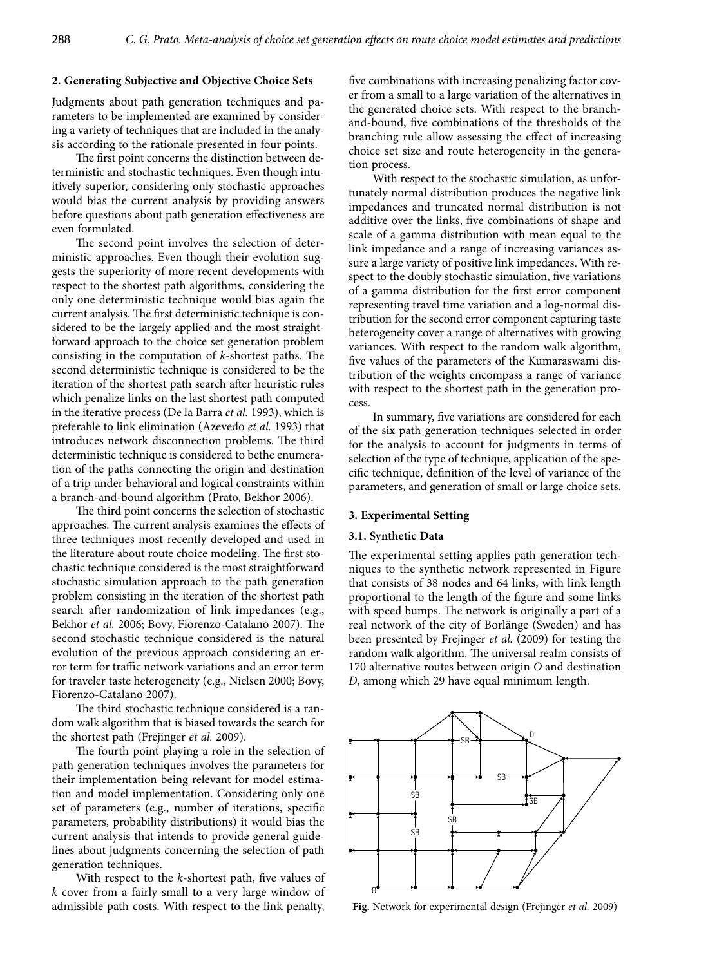### **2. Generating Subjective and Objective Choice Sets**

Judgments about path generation techniques and parameters to be implemented are examined by considering a variety of techniques that are included in the analysis according to the rationale presented in four points.

The first point concerns the distinction between deterministic and stochastic techniques. Even though intuitively superior, considering only stochastic approaches would bias the current analysis by providing answers before questions about path generation effectiveness are even formulated.

The second point involves the selection of deterministic approaches. Even though their evolution suggests the superiority of more recent developments with respect to the shortest path algorithms, considering the only one deterministic technique would bias again the current analysis. The first deterministic technique is considered to be the largely applied and the most straightforward approach to the choice set generation problem consisting in the computation of *k-*shortest paths. The second deterministic technique is considered to be the iteration of the shortest path search after heuristic rules which penalize links on the last shortest path computed in the iterative process (De la Barra *et al.* 1993), which is preferable to link elimination (Azevedo *et al.* 1993) that introduces network disconnection problems. The third deterministic technique is considered to bethe enumeration of the paths connecting the origin and destination of a trip under behavioral and logical constraints within a branch-and-bound algorithm (Prato, Bekhor 2006).

The third point concerns the selection of stochastic approaches. The current analysis examines the effects of three techniques most recently developed and used in the literature about route choice modeling. The first stochastic technique considered is the most straightforward stochastic simulation approach to the path generation problem consisting in the iteration of the shortest path search after randomization of link impedances (e.g., Bekhor *et al.* 2006; Bovy, Fiorenzo-Catalano 2007). The second stochastic technique considered is the natural evolution of the previous approach considering an error term for traffic network variations and an error term for traveler taste heterogeneity (e.g., Nielsen 2000; Bovy, Fiorenzo-Catalano 2007).

The third stochastic technique considered is a random walk algorithm that is biased towards the search for the shortest path (Frejinger *et al.* 2009).

The fourth point playing a role in the selection of path generation techniques involves the parameters for their implementation being relevant for model estimation and model implementation. Considering only one set of parameters (e.g., number of iterations, specific parameters, probability distributions) it would bias the current analysis that intends to provide general guidelines about judgments concerning the selection of path generation techniques.

With respect to the *k*-shortest path, five values of *k* cover from a fairly small to a very large window of admissible path costs. With respect to the link penalty,

five combinations with increasing penalizing factor cover from a small to a large variation of the alternatives in the generated choice sets. With respect to the branchand-bound, five combinations of the thresholds of the branching rule allow assessing the effect of increasing choice set size and route heterogeneity in the generation process.

With respect to the stochastic simulation, as unfortunately normal distribution produces the negative link impedances and truncated normal distribution is not additive over the links, five combinations of shape and scale of a gamma distribution with mean equal to the link impedance and a range of increasing variances assure a large variety of positive link impedances. With respect to the doubly stochastic simulation, five variations of a gamma distribution for the first error component representing travel time variation and a log-normal distribution for the second error component capturing taste heterogeneity cover a range of alternatives with growing variances. With respect to the random walk algorithm, five values of the parameters of the Kumaraswami distribution of the weights encompass a range of variance with respect to the shortest path in the generation process.

In summary, five variations are considered for each of the six path generation techniques selected in order for the analysis to account for judgments in terms of selection of the type of technique, application of the specific technique, definition of the level of variance of the parameters, and generation of small or large choice sets.

#### **3. Experimental Setting**

#### **3.1. Synthetic Data**

The experimental setting applies path generation techniques to the synthetic network represented in Figure that consists of 38 nodes and 64 links, with link length proportional to the length of the figure and some links with speed bumps. The network is originally a part of a real network of the city of Borlänge (Sweden) and has been presented by Frejinger *et al.* (2009) for testing the random walk algorithm. The universal realm consists of 170 alternative routes between origin *O* and destination *D*, among which 29 have equal minimum length.



**Fig.** Network for experimental design (Frejinger *et al.* 2009)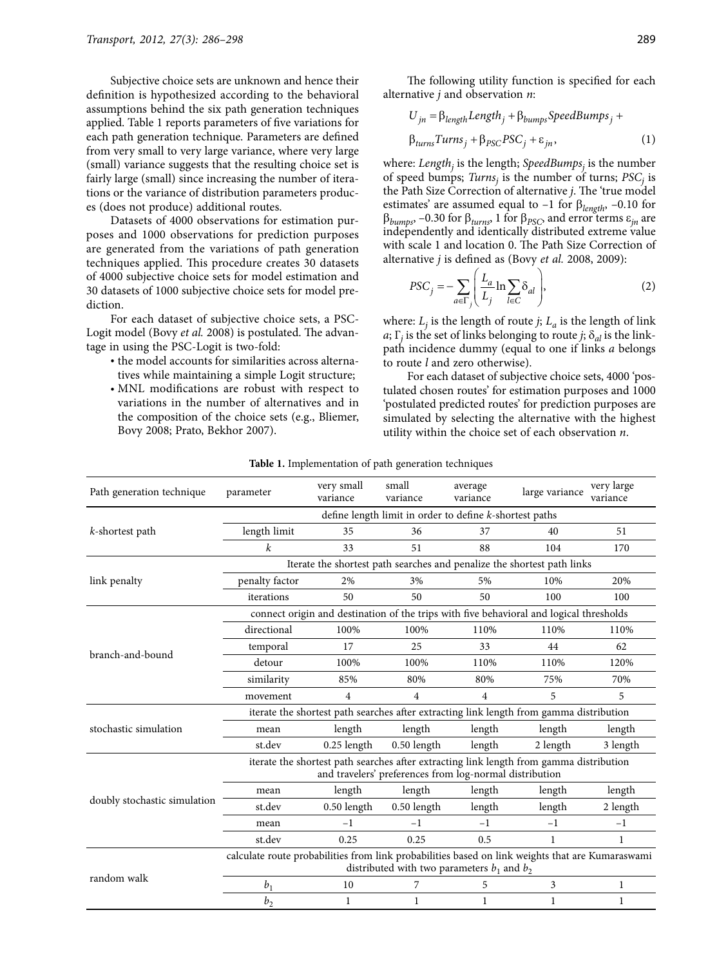Subjective choice sets are unknown and hence their definition is hypothesized according to the behavioral assumptions behind the six path generation techniques applied. Table 1 reports parameters of five variations for each path generation technique. Parameters are defined from very small to very large variance, where very large (small) variance suggests that the resulting choice set is fairly large (small) since increasing the number of iterations or the variance of distribution parameters produces (does not produce) additional routes.

Datasets of 4000 observations for estimation purposes and 1000 observations for prediction purposes are generated from the variations of path generation techniques applied. This procedure creates 30 datasets of 4000 subjective choice sets for model estimation and 30 datasets of 1000 subjective choice sets for model prediction.

For each dataset of subjective choice sets, a PSC-Logit model (Bovy *et al.* 2008) is postulated. The advantage in using the PSC-Logit is two-fold:

- the model accounts for similarities across alternatives while maintaining a simple Logit structure;
- • MNL modifications are robust with respect to variations in the number of alternatives and in the composition of the choice sets (e.g., Bliemer, Bovy 2008; Prato, Bekhor 2007).

The following utility function is specified for each alternative *j* and observation *n*:

$$
U_{jn} = \beta_{length}Length_j + \beta_{bumps} SpeedBumps_j +
$$
  
\n
$$
\beta_{turns} Turns_j + \beta_{PSC} PSC_j + \varepsilon_{jn},
$$
\n(1)

where: *Length<sub>j</sub>* is the length; *SpeedBumps<sub>j</sub>* is the number of speed bumps; *Turnsj* is the number of turns; *PSCj* is the Path Size Correction of alternative *j*. The 'true model estimates' are assumed equal to  $-1$  for  $\beta_{length}$ ,  $-0.10$  for  $\beta_{\text{bumps}}$ , –0.30 for  $\beta_{\text{turns}}$ , 1 for  $\beta_{\text{PSC}}$ , and error terms  $\varepsilon_{jn}$  are independently and identically distributed extreme value with scale 1 and location 0. The Path Size Correction of alternative *j* is defined as (Bovy *et al.* 2008, 2009):

$$
PSC_j = -\sum_{a \in \Gamma_j} \left( \frac{L_a}{L_j} \ln \sum_{l \in C} \delta_{al} \right),\tag{2}
$$

where:  $L_j$  is the length of route *j*;  $L_a$  is the length of link *a*;  $\Gamma_j$  is the set of links belonging to route *j*;  $\delta_{al}$  is the linkpath incidence dummy (equal to one if links *a* belongs to route *l* and zero otherwise).

For each dataset of subjective choice sets, 4000 'postulated chosen routes' for estimation purposes and 1000 'postulated predicted routes' for prediction purposes are simulated by selecting the alternative with the highest utility within the choice set of each observation *n*.

| Path generation technique    | parameter                                                                                                                                          | very small<br>variance                                  | small<br>variance | average<br>variance                                                                     | large variance | very large<br>variance |  |  |  |  |
|------------------------------|----------------------------------------------------------------------------------------------------------------------------------------------------|---------------------------------------------------------|-------------------|-----------------------------------------------------------------------------------------|----------------|------------------------|--|--|--|--|
|                              |                                                                                                                                                    | define length limit in order to define k-shortest paths |                   |                                                                                         |                |                        |  |  |  |  |
| k-shortest path              | length limit                                                                                                                                       | 35                                                      | 36                | 37                                                                                      | 40             | 51                     |  |  |  |  |
|                              | k                                                                                                                                                  | 33                                                      | 51                | 88                                                                                      | 104            | 170                    |  |  |  |  |
|                              |                                                                                                                                                    |                                                         |                   | Iterate the shortest path searches and penalize the shortest path links                 |                |                        |  |  |  |  |
| link penalty                 | penalty factor                                                                                                                                     | 2%                                                      | 3%                | 5%                                                                                      | 10%            | 20%                    |  |  |  |  |
|                              | iterations                                                                                                                                         | 50                                                      | 50                | 50                                                                                      | 100            | 100                    |  |  |  |  |
|                              |                                                                                                                                                    |                                                         |                   | connect origin and destination of the trips with five behavioral and logical thresholds |                |                        |  |  |  |  |
|                              | directional                                                                                                                                        | 100%                                                    | 100%              | 110%                                                                                    | 110%           | 110%                   |  |  |  |  |
|                              | temporal                                                                                                                                           | 17                                                      | 25                | 33                                                                                      | 44             | 62                     |  |  |  |  |
| branch-and-bound             | detour                                                                                                                                             | 100%                                                    | 100%              | 110%                                                                                    | 110%           | 120%                   |  |  |  |  |
|                              | similarity                                                                                                                                         | 85%                                                     | 80%               | 80%                                                                                     | 75%            | 70%                    |  |  |  |  |
|                              | movement                                                                                                                                           | $\overline{4}$                                          | $\overline{4}$    | 4                                                                                       | 5              | 5                      |  |  |  |  |
|                              | iterate the shortest path searches after extracting link length from gamma distribution                                                            |                                                         |                   |                                                                                         |                |                        |  |  |  |  |
| stochastic simulation        | mean                                                                                                                                               | length                                                  | length            | length                                                                                  | length         | length                 |  |  |  |  |
|                              | st.dev                                                                                                                                             | 0.25 length                                             | 0.50 length       | length                                                                                  | 2 length       | 3 length               |  |  |  |  |
|                              | iterate the shortest path searches after extracting link length from gamma distribution<br>and travelers' preferences from log-normal distribution |                                                         |                   |                                                                                         |                |                        |  |  |  |  |
|                              | mean                                                                                                                                               | length                                                  | length            | length                                                                                  | length         | length                 |  |  |  |  |
| doubly stochastic simulation | st.dev                                                                                                                                             | $0.50$ length                                           | 0.50 length       | length                                                                                  | length         | 2 length               |  |  |  |  |
|                              | mean                                                                                                                                               | $-1$                                                    | $-1$              | $-1$                                                                                    | $-1$           | $-1$                   |  |  |  |  |
|                              | st.dev                                                                                                                                             | 0.25                                                    | 0.25              | 0.5                                                                                     | 1              | $\mathbf{1}$           |  |  |  |  |
|                              | calculate route probabilities from link probabilities based on link weights that are Kumaraswami                                                   |                                                         |                   | distributed with two parameters $b_1$ and $b_2$                                         |                |                        |  |  |  |  |
| random walk                  | b <sub>1</sub>                                                                                                                                     | 10                                                      | 7                 | 5                                                                                       | 3              | $\mathbf{1}$           |  |  |  |  |
|                              | b <sub>2</sub>                                                                                                                                     | 1                                                       | $\mathbf{1}$      | 1                                                                                       | 1              | $\mathbf{1}$           |  |  |  |  |

**Table 1.** Implementation of path generation techniques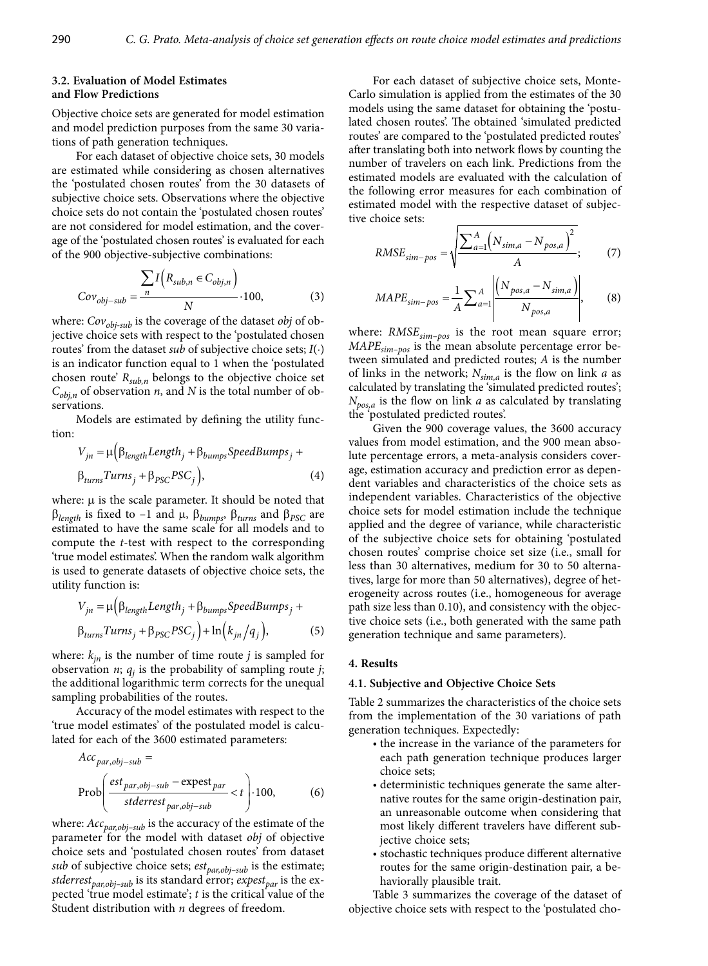### **3.2. Evaluation of Model Estimates and Flow Predictions**

Objective choice sets are generated for model estimation and model prediction purposes from the same 30 variations of path generation techniques.

For each dataset of objective choice sets, 30 models are estimated while considering as chosen alternatives the 'postulated chosen routes' from the 30 datasets of subjective choice sets. Observations where the objective choice sets do not contain the 'postulated chosen routes' are not considered for model estimation, and the coverage of the 'postulated chosen routes' is evaluated for each of the 900 objective-subjective combinations:

$$
Cov_{obj-sub} = \frac{\sum_{n} I(R_{sub,n} \in C_{obj,n})}{N} \cdot 100,
$$
 (3)

where: *Cov*<sub>obi-sub</sub> is the coverage of the dataset *obj* of objective choice sets with respect to the 'postulated chosen routes' from the dataset *sub* of subjective choice sets; *I*(*·*) is an indicator function equal to 1 when the 'postulated chosen route' *Rsub,n* belongs to the objective choice set  $C_{obj,n}$  of observation *n*, and *N* is the total number of observations.

Models are estimated by defining the utility function:

$$
V_{jn} = \mu \Big( \beta_{length}Length_j + \beta_{bumps} SpeedBumps_j + \beta_{turns} Turns_j + \beta_{PSC} PSC_j \Big), \tag{4}
$$

where:  $\mu$  is the scale parameter. It should be noted that  $\beta_{length}$  is fixed to -1 and  $\mu$ ,  $\beta_{bumps}$ ,  $\beta_{turns}$  and  $\beta_{PSC}$  are estimated to have the same scale for all models and to compute the *t*-test with respect to the corresponding 'true model estimates'. When the random walk algorithm is used to generate datasets of objective choice sets, the utility function is:

$$
V_{jn} = \mu \left( \beta_{length}Length_j + \beta_{bumps} SpeedBumps_j + \beta_{turns} Turns_j + \beta_{PSC} PSC_j \right) + \ln \left( k_{jn} / q_j \right),
$$
 (5)

where:  $k_{in}$  is the number of time route *j* is sampled for observation *n*; *qj* is the probability of sampling route *j*; the additional logarithmic term corrects for the unequal sampling probabilities of the routes.

Accuracy of the model estimates with respect to the 'true model estimates' of the postulated model is calculated for each of the 3600 estimated parameters:

$$
Accpar,obj-sub =
$$
  
Prob
$$
\left(\frac{est_{par,obj-sub} - \text{expect}_{par}}{stderrest_{par,obj-sub}} < t\right) \cdot 100,
$$
 (6)

where:  $Acc_{par,obj-sub}$  is the accuracy of the estimate of the parameter for the model with dataset *obj* of objective choice sets and 'postulated chosen routes' from dataset *sub* of subjective choice sets;  $est_{par, obj-sub}$  is the estimate; *stderrest<sub>par,obj–sub* is its standard error; *expest<sub>par</sub>* is the ex-</sub> pected 'true model estimate'; *t* is the critical value of the Student distribution with *n* degrees of freedom.

For each dataset of subjective choice sets, Monte-Carlo simulation is applied from the estimates of the 30 models using the same dataset for obtaining the 'postulated chosen routes'. The obtained 'simulated predicted routes' are compared to the 'postulated predicted routes' after translating both into network flows by counting the number of travelers on each link. Predictions from the estimated models are evaluated with the calculation of the following error measures for each combination of estimated model with the respective dataset of subjective choice sets:

RMSE<sub>sim-pos</sub> = 
$$
\sqrt{\frac{\sum_{a=1}^{A} (N_{sim,a} - N_{pos,a})^2}{A}}
$$
; (7)

$$
MAPE_{sim-pos} = \frac{1}{A} \sum_{a=1}^{A} \left| \frac{\left(N_{pos,a} - N_{sim,a}\right)}{N_{pos,a}} \right|,
$$
 (8)

where:  $RMSE_{sim-pos}$  is the root mean square error; *MAPEsim–pos* is the mean absolute percentage error between simulated and predicted routes; *A* is the number of links in the network;  $N_{\text{sim},a}$  is the flow on link *a* as calculated by translating the 'simulated predicted routes'; *Npos,a* is the flow on link *a* as calculated by translating the 'postulated predicted routes'.

Given the 900 coverage values, the 3600 accuracy values from model estimation, and the 900 mean absolute percentage errors, a meta-analysis considers coverage, estimation accuracy and prediction error as dependent variables and characteristics of the choice sets as independent variables. Characteristics of the objective choice sets for model estimation include the technique applied and the degree of variance, while characteristic of the subjective choice sets for obtaining 'postulated chosen routes' comprise choice set size (i.e., small for less than 30 alternatives, medium for 30 to 50 alternatives, large for more than 50 alternatives), degree of heterogeneity across routes (i.e., homogeneous for average path size less than 0.10), and consistency with the objective choice sets (i.e., both generated with the same path generation technique and same parameters).

### **4. Results**

### **4.1. Subjective and Objective Choice Sets**

Table 2 summarizes the characteristics of the choice sets from the implementation of the 30 variations of path generation techniques. Expectedly:

- the increase in the variance of the parameters for each path generation technique produces larger choice sets;
- deterministic techniques generate the same alternative routes for the same origin-destination pair, an unreasonable outcome when considering that most likely different travelers have different subjective choice sets;
- • stochastic techniques produce different alternative routes for the same origin-destination pair, a behaviorally plausible trait.

Table 3 summarizes the coverage of the dataset of objective choice sets with respect to the 'postulated cho-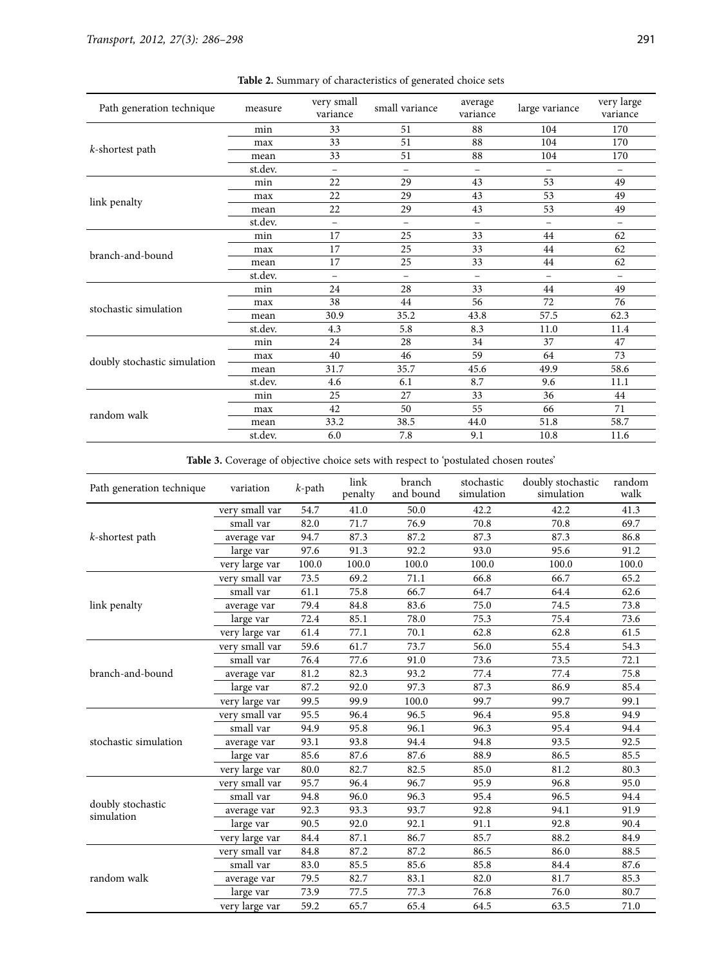| Path generation technique    | measure | very small<br>variance   | small variance           | average<br>variance      | large variance           | very large<br>variance       |
|------------------------------|---------|--------------------------|--------------------------|--------------------------|--------------------------|------------------------------|
|                              | min     | 33                       | 51                       | 88                       | 104                      | 170                          |
|                              | max     | 33                       | 51                       | 88                       | 104                      | 170                          |
| k-shortest path              | mean    | 33                       | 51                       | 88                       | 104                      | 170                          |
|                              | st.dev. | $\overline{\phantom{m}}$ | $\qquad \qquad -$        | $\qquad \qquad -$        | $\overline{\phantom{m}}$ | -                            |
|                              | min     | 22                       | 29                       | 43                       | 53                       | 49                           |
| link penalty                 | max     | 22                       | 29                       | 43                       | 53                       | 49                           |
|                              | mean    | 22                       | 29                       | 43                       | 53                       | 49                           |
|                              | st.dev. | $\overline{\phantom{m}}$ | $\overline{\phantom{m}}$ | $\equiv$                 | $\overline{\phantom{m}}$ | $\overline{\phantom{0}}$     |
|                              | min     | 17                       | 25                       | 33                       | 44                       | 62                           |
| branch-and-bound             | max     | 17                       | 25                       | 33                       | 44                       | 62                           |
|                              | mean    | 17                       | 25                       | 33                       | 44                       | 62                           |
|                              | st.dev. | $\qquad \qquad -$        | $\qquad \qquad -$        | $\overline{\phantom{0}}$ | $\overline{\phantom{m}}$ | $\qquad \qquad \blacksquare$ |
|                              | min     | 24                       | 28                       | 33                       | 44                       | 49                           |
| stochastic simulation        | max     | 38                       | 44                       | 56                       | 72                       | 76                           |
|                              | mean    | 30.9                     | 35.2                     | 43.8                     | 57.5                     | 62.3                         |
|                              | st.dev. | 4.3                      | 5.8                      | 8.3                      | 11.0                     | 11.4                         |
|                              | min     | 24                       | 28                       | 34                       | 37                       | 47                           |
| doubly stochastic simulation | max     | 40                       | 46                       | 59                       | 64                       | 73                           |
|                              | mean    | 31.7                     | 35.7                     | 45.6                     | 49.9                     | 58.6                         |
|                              | st.dev. | 4.6                      | 6.1                      | 8.7                      | 9.6                      | 11.1                         |
|                              | min     | 25                       | 27                       | 33                       | 36                       | 44                           |
| random walk                  | max     | 42                       | 50                       | 55                       | 66                       | 71                           |
|                              | mean    | 33.2                     | 38.5                     | 44.0                     | 51.8                     | 58.7                         |
|                              | st.dev. | 6.0                      | 7.8                      | 9.1                      | 10.8                     | 11.6                         |

**Table 2.** Summary of characteristics of generated choice sets

**Table 3.** Coverage of objective choice sets with respect to 'postulated chosen routes'

| Path generation technique       | variation      | $k$ -path | link<br>penalty | branch<br>and bound | stochastic<br>simulation | doubly stochastic<br>simulation | random<br>walk |
|---------------------------------|----------------|-----------|-----------------|---------------------|--------------------------|---------------------------------|----------------|
|                                 | very small var | 54.7      | 41.0            | 50.0                | 42.2                     | 42.2                            | 41.3           |
|                                 | small var      | 82.0      | 71.7            | 76.9                | 70.8                     | 70.8                            | 69.7           |
| k-shortest path                 | average var    | 94.7      | 87.3            | 87.2                | 87.3                     | 87.3                            | 86.8           |
|                                 | large var      | 97.6      | 91.3            | 92.2                | 93.0                     | 95.6                            | 91.2           |
|                                 | very large var | 100.0     | 100.0           | 100.0               | 100.0                    | 100.0                           | 100.0          |
|                                 | very small var | 73.5      | 69.2            | 71.1                | 66.8                     | 66.7                            | 65.2           |
|                                 | small var      | 61.1      | 75.8            | 66.7                | 64.7                     | 64.4                            | 62.6           |
| link penalty                    | average var    | 79.4      | 84.8            | 83.6                | 75.0                     | 74.5                            | 73.8           |
|                                 | large var      | 72.4      | 85.1            | 78.0                | 75.3                     | 75.4                            | 73.6           |
|                                 | very large var | 61.4      | 77.1            | 70.1                | 62.8                     | 62.8                            | 61.5           |
|                                 | very small var | 59.6      | 61.7            | 73.7                | 56.0                     | 55.4                            | 54.3           |
|                                 | small var      | 76.4      | 77.6            | 91.0                | 73.6                     | 73.5                            | 72.1           |
| branch-and-bound                | average var    | 81.2      | 82.3            | 93.2                | 77.4                     | 77.4                            | 75.8           |
|                                 | large var      | 87.2      | 92.0            | 97.3                | 87.3                     | 86.9                            | 85.4           |
|                                 | very large var | 99.5      | 99.9            | 100.0               | 99.7                     | 99.7                            | 99.1           |
|                                 | very small var | 95.5      | 96.4            | 96.5                | 96.4                     | 95.8                            | 94.9           |
|                                 | small var      | 94.9      | 95.8            | 96.1                | 96.3                     | 95.4                            | 94.4           |
| stochastic simulation           | average var    | 93.1      | 93.8            | 94.4                | 94.8                     | 93.5                            | 92.5           |
|                                 | large var      | 85.6      | 87.6            | 87.6                | 88.9                     | 86.5                            | 85.5           |
|                                 | very large var | 80.0      | 82.7            | 82.5                | 85.0                     | 81.2                            | 80.3           |
|                                 | very small var | 95.7      | 96.4            | 96.7                | 95.9                     | 96.8                            | 95.0           |
|                                 | small var      | 94.8      | 96.0            | 96.3                | 95.4                     | 96.5                            | 94.4           |
| doubly stochastic<br>simulation | average var    | 92.3      | 93.3            | 93.7                | 92.8                     | 94.1                            | 91.9           |
|                                 | large var      | 90.5      | 92.0            | 92.1                | 91.1                     | 92.8                            | 90.4           |
|                                 | very large var | 84.4      | 87.1            | 86.7                | 85.7                     | 88.2                            | 84.9           |
|                                 | very small var | 84.8      | 87.2            | 87.2                | 86.5                     | 86.0                            | 88.5           |
|                                 | small var      | 83.0      | 85.5            | 85.6                | 85.8                     | 84.4                            | 87.6           |
| random walk                     | average var    | 79.5      | 82.7            | 83.1                | 82.0                     | 81.7                            | 85.3           |
|                                 | large var      | 73.9      | 77.5            | 77.3                | 76.8                     | 76.0                            | 80.7           |
|                                 | very large var | 59.2      | 65.7            | 65.4                | 64.5                     | 63.5                            | 71.0           |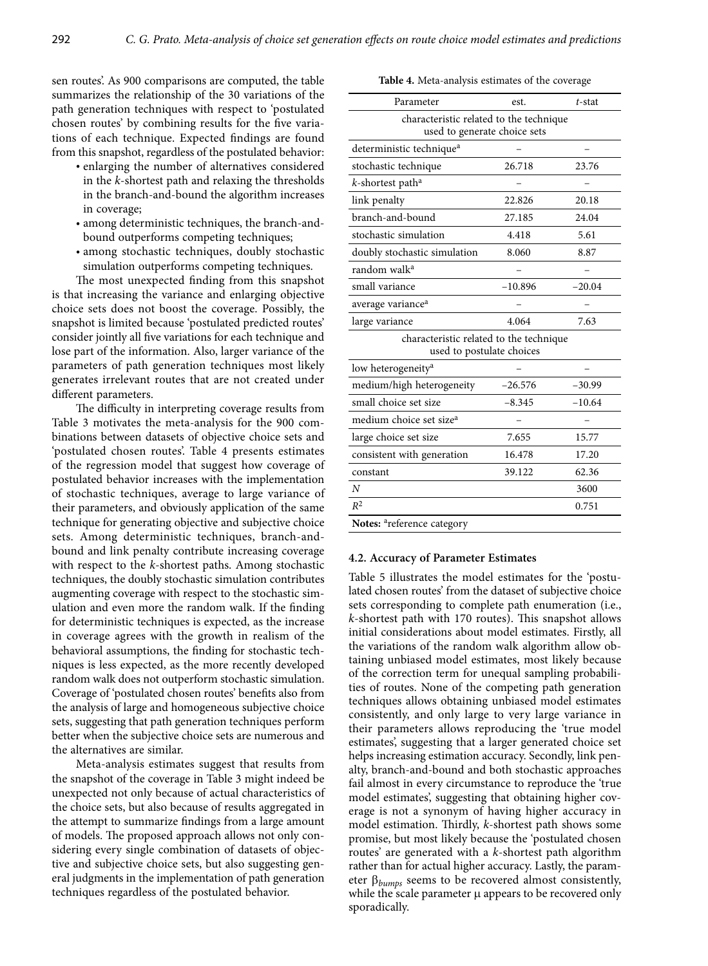sen routes'. As 900 comparisons are computed, the table summarizes the relationship of the 30 variations of the path generation techniques with respect to 'postulated chosen routes' by combining results for the five variations of each technique. Expected findings are found from this snapshot, regardless of the postulated behavior:

- enlarging the number of alternatives considered in the *k*-shortest path and relaxing the thresholds in the branch-and-bound the algorithm increases in coverage;
- among deterministic techniques, the branch-andbound outperforms competing techniques;
- • among stochastic techniques, doubly stochastic simulation outperforms competing techniques.

The most unexpected finding from this snapshot is that increasing the variance and enlarging objective choice sets does not boost the coverage. Possibly, the snapshot is limited because 'postulated predicted routes' consider jointly all five variations for each technique and lose part of the information. Also, larger variance of the parameters of path generation techniques most likely generates irrelevant routes that are not created under different parameters.

The difficulty in interpreting coverage results from Table 3 motivates the meta-analysis for the 900 combinations between datasets of objective choice sets and 'postulated chosen routes'. Table 4 presents estimates of the regression model that suggest how coverage of postulated behavior increases with the implementation of stochastic techniques, average to large variance of their parameters, and obviously application of the same technique for generating objective and subjective choice sets. Among deterministic techniques, branch-andbound and link penalty contribute increasing coverage with respect to the *k*-shortest paths. Among stochastic techniques, the doubly stochastic simulation contributes augmenting coverage with respect to the stochastic simulation and even more the random walk. If the finding for deterministic techniques is expected, as the increase in coverage agrees with the growth in realism of the behavioral assumptions, the finding for stochastic techniques is less expected, as the more recently developed random walk does not outperform stochastic simulation. Coverage of 'postulated chosen routes' benefits also from the analysis of large and homogeneous subjective choice sets, suggesting that path generation techniques perform better when the subjective choice sets are numerous and the alternatives are similar.

Meta-analysis estimates suggest that results from the snapshot of the coverage in Table 3 might indeed be unexpected not only because of actual characteristics of the choice sets, but also because of results aggregated in the attempt to summarize findings from a large amount of models. The proposed approach allows not only considering every single combination of datasets of objective and subjective choice sets, but also suggesting general judgments in the implementation of path generation techniques regardless of the postulated behavior.

|  |  | <b>Table 4.</b> Meta-analysis estimates of the coverage |  |  |  |  |  |
|--|--|---------------------------------------------------------|--|--|--|--|--|
|--|--|---------------------------------------------------------|--|--|--|--|--|

| Parameter                               | est.                                                                    | $t$ -stat |  |  |  |  |  |  |  |
|-----------------------------------------|-------------------------------------------------------------------------|-----------|--|--|--|--|--|--|--|
|                                         | characteristic related to the technique<br>used to generate choice sets |           |  |  |  |  |  |  |  |
| deterministic technique <sup>a</sup>    |                                                                         |           |  |  |  |  |  |  |  |
|                                         |                                                                         |           |  |  |  |  |  |  |  |
| stochastic technique                    | 26.718                                                                  | 23.76     |  |  |  |  |  |  |  |
| $k$ -shortest path <sup>a</sup>         |                                                                         |           |  |  |  |  |  |  |  |
| link penalty                            | 22.826                                                                  | 20.18     |  |  |  |  |  |  |  |
| branch-and-bound                        | 27.185                                                                  | 24.04     |  |  |  |  |  |  |  |
| stochastic simulation                   | 4.418                                                                   | 5.61      |  |  |  |  |  |  |  |
| doubly stochastic simulation            | 8.060                                                                   | 8.87      |  |  |  |  |  |  |  |
| random walk <sup>a</sup>                |                                                                         |           |  |  |  |  |  |  |  |
| small variance                          | $-10.896$                                                               | $-20.04$  |  |  |  |  |  |  |  |
| average variance <sup>a</sup>           |                                                                         |           |  |  |  |  |  |  |  |
| large variance                          | 4.064                                                                   | 7.63      |  |  |  |  |  |  |  |
| characteristic related to the technique |                                                                         |           |  |  |  |  |  |  |  |
| used to postulate choices               |                                                                         |           |  |  |  |  |  |  |  |
| low heterogeneity <sup>a</sup>          |                                                                         |           |  |  |  |  |  |  |  |
| medium/high heterogeneity               | $-26.576$                                                               | $-30.99$  |  |  |  |  |  |  |  |
| small choice set size                   | $-8.345$                                                                | $-10.64$  |  |  |  |  |  |  |  |
| medium choice set size <sup>a</sup>     |                                                                         |           |  |  |  |  |  |  |  |
| large choice set size                   | 7.655                                                                   | 15.77     |  |  |  |  |  |  |  |
| consistent with generation              | 16.478                                                                  | 17.20     |  |  |  |  |  |  |  |
| constant                                | 39.122                                                                  | 62.36     |  |  |  |  |  |  |  |
| N                                       |                                                                         | 3600      |  |  |  |  |  |  |  |
| $R^2$                                   |                                                                         | 0.751     |  |  |  |  |  |  |  |
| Notae, <sup>d</sup> raforance category  |                                                                         |           |  |  |  |  |  |  |  |

Notes: <sup>a</sup>reference category

#### **4.2. Accuracy of Parameter Estimates**

Table 5 illustrates the model estimates for the 'postulated chosen routes' from the dataset of subjective choice sets corresponding to complete path enumeration (i.e., *k*-shortest path with 170 routes). This snapshot allows initial considerations about model estimates. Firstly, all the variations of the random walk algorithm allow obtaining unbiased model estimates, most likely because of the correction term for unequal sampling probabilities of routes. None of the competing path generation techniques allows obtaining unbiased model estimates consistently, and only large to very large variance in their parameters allows reproducing the 'true model estimates', suggesting that a larger generated choice set helps increasing estimation accuracy. Secondly, link penalty, branch-and-bound and both stochastic approaches fail almost in every circumstance to reproduce the 'true model estimates', suggesting that obtaining higher coverage is not a synonym of having higher accuracy in model estimation. Thirdly, *k*-shortest path shows some promise, but most likely because the 'postulated chosen routes' are generated with a *k*-shortest path algorithm rather than for actual higher accuracy. Lastly, the parameter  $\beta_{bumps}$  seems to be recovered almost consistently, while the scale parameter  $\mu$  appears to be recovered only sporadically.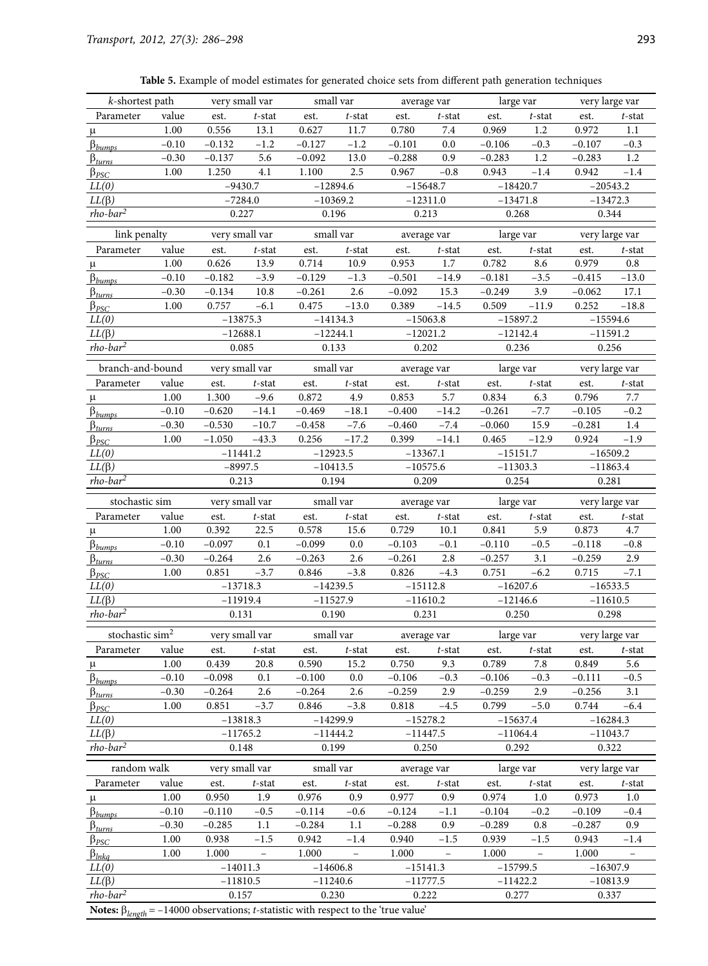**Table 5.** Example of model estimates for generated choice sets from different path generation techniques

| $k$ -shortest path                                                                                  |          | very small var |           | small var  |            | average var |                 | large var  |                 | very large var |                |
|-----------------------------------------------------------------------------------------------------|----------|----------------|-----------|------------|------------|-------------|-----------------|------------|-----------------|----------------|----------------|
| Parameter                                                                                           | value    | est.           | $t$ -stat | est.       | $t$ -stat  | est.        | $t$ -stat       | est.       | $t$ -stat       | est.           | $t$ -stat      |
| $\mu$                                                                                               | 1.00     | 0.556          | 13.1      | 0.627      | 11.7       | 0.780       | 7.4             | 0.969      | 1.2             | 0.972          | 1.1            |
| $\beta_{bumps}$                                                                                     | $-0.10$  | $-0.132$       | $-1.2$    | $-0.127$   | $-1.2$     | $-0.101$    | 0.0             | $-0.106$   | $-0.3$          | $-0.107$       | $-0.3$         |
| $\beta_{turns}$                                                                                     | $-0.30$  | $-0.137$       | 5.6       | $-0.092$   | 13.0       | $-0.288$    | 0.9             | $-0.283$   | 1.2             | $-0.283$       | 1.2            |
| $\beta_{PSC}$                                                                                       | 1.00     | 1.250          | 4.1       | 1.100      | 2.5        | 0.967       | $-0.8$          | 0.943      | $-1.4$          | 0.942          | $-1.4$         |
| LL(0)                                                                                               |          | $-9430.7$      |           | $-12894.6$ |            | $-15648.7$  |                 | $-18420.7$ |                 | $-20543.2$     |                |
| $LL(\beta)$                                                                                         |          | $-7284.0$      |           | $-10369.2$ |            | $-12311.0$  |                 | $-13471.8$ |                 | $-13472.3$     |                |
| $rho-bar^2$                                                                                         |          | 0.227          |           | 0.196      |            | 0.213       |                 | 0.268      |                 | 0.344          |                |
| link penalty                                                                                        |          | very small var |           | small var  |            | average var |                 | large var  |                 | very large var |                |
| Parameter                                                                                           | value    | est.           | $t$ -stat | est.       | t-stat     | est.        | t-stat          | est.       | t-stat          | est.           | $t$ -stat      |
|                                                                                                     | 1.00     | 0.626          | 13.9      | 0.714      | 10.9       | 0.953       | 1.7             | 0.782      | 8.6             | 0.979          | 0.8            |
| $\mu$                                                                                               | $-0.10$  | $-0.182$       | $-3.9$    | $-0.129$   | $-1.3$     | $-0.501$    | $-14.9$         | $-0.181$   | $-3.5$          | $-0.415$       | $-13.0$        |
| $\beta_{bumps}$                                                                                     | $-0.30$  | $-0.134$       | 10.8      | $-0.261$   | 2.6        | $-0.092$    | 15.3            | $-0.249$   | 3.9             | $-0.062$       | 17.1           |
| $\beta_{turns}$                                                                                     | 1.00     | 0.757          | $-6.1$    | 0.475      | $-13.0$    | 0.389       | $-14.5$         | 0.509      | $-11.9$         | 0.252          | $-18.8$        |
| $\beta_{PSC}$<br>LL(0)                                                                              |          | $-13875.3$     |           | $-14134.3$ |            | $-15063.8$  |                 | $-15897.2$ |                 | $-15594.6$     |                |
| $LL(\beta)$                                                                                         |          | $-12688.1$     |           | $-12244.1$ |            | $-12021.2$  |                 | $-12142.4$ |                 | $-11591.2$     |                |
| $rho-bar^2$                                                                                         |          | 0.085          |           | 0.133      |            | 0.202       |                 | 0.236      |                 | 0.256          |                |
|                                                                                                     |          |                |           |            |            |             |                 |            |                 |                |                |
| branch-and-bound                                                                                    |          | very small var |           | small var  |            | average var |                 | large var  |                 | very large var |                |
| Parameter                                                                                           | value    | est.           | t-stat    | est.       | $t$ -stat  | est.        | t-stat          | est.       | $t$ -stat       | est.           | $t$ -stat      |
| μ                                                                                                   | 1.00     | 1.300          | $-9.6$    | 0.872      | 4.9        | 0.853       | 5.7             | 0.834      | 6.3             | 0.796          | 7.7            |
| $\beta_{bumps}$                                                                                     | $-0.10$  | $-0.620$       | $-14.1$   | $-0.469$   | $-18.1$    | $-0.400$    | $-14.2$         | $-0.261$   | $-7.7$          | $-0.105$       | $-0.2$         |
| $\beta_{turns}$                                                                                     | $-0.30$  | $-0.530$       | $-10.7$   | $-0.458$   | $-7.6$     | $-0.460$    | $-7.4$          | $-0.060$   | 15.9            | $-0.281$       | 1.4            |
| $\beta_{PSC}$                                                                                       | 1.00     | $-1.050$       | $-43.3$   | 0.256      | $-17.2$    | 0.399       | $-14.1$         | 0.465      | $-12.9$         | 0.924          | $-1.9$         |
| LL(0)                                                                                               |          | $-11441.2$     |           | $-12923.5$ |            | $-13367.1$  |                 | $-15151.7$ |                 | $-16509.2$     |                |
| $LL(\beta)$                                                                                         |          | $-8997.5$      |           | $-10413.5$ |            | $-10575.6$  |                 | $-11303.3$ |                 | $-11863.4$     |                |
| $rho-bar^2$                                                                                         |          | 0.213          |           | 0.194      |            | 0.209       |                 | 0.254      |                 | 0.281          |                |
| stochastic sim                                                                                      |          | very small var |           | small var  |            | average var |                 | large var  |                 | very large var |                |
| Parameter                                                                                           | value    | est.           | t-stat    | est.       | t-stat     | est.        | t-stat          | est.       | $t$ -stat       | est.           | t-stat         |
| $\mu$                                                                                               | 1.00     | 0.392          | 22.5      | 0.578      | 15.6       | 0.729       | 10.1            | 0.841      | 5.9             | 0.873          | 4.7            |
| $\beta_{\textit{bumps}}$                                                                            | $-0.10$  | $-0.097$       | 0.1       | $-0.099$   | 0.0        | $-0.103$    | $-0.1$          | $-0.110$   | $-0.5$          | $-0.118$       | $-0.8$         |
| $\beta_{turns}$                                                                                     | $-0.30$  | $-0.264$       | 2.6       | $-0.263$   | 2.6        | $-0.261$    | 2.8             | $-0.257$   | 3.1             | $-0.259$       | 2.9            |
| $\beta_{PSC}$                                                                                       | 1.00     | 0.851          | $-3.7$    | 0.846      | $-3.8$     | 0.826       | $-4.3$          | 0.751      | $-6.2$          | 0.715          | $-7.1$         |
| LL(0)                                                                                               |          | $-13718.3$     |           |            | $-14239.5$ |             | $-15112.8$      | $-16207.6$ |                 | $-16533.5$     |                |
| $LL(\beta)$                                                                                         |          | $-11919.4$     |           | $-11527.9$ |            |             | $-11610.2$      |            | $-12146.6$      | $-11610.5$     |                |
| $rho$ -bar <sup>2</sup>                                                                             |          | 0.131          |           | 0.190      |            | 0.231       |                 |            | 0.250           |                | 0.298          |
| stochastic $\mathrm{sim}^2$                                                                         |          | very small var |           | small var  |            | average var |                 |            | large var       |                | very large var |
| Parameter                                                                                           | value    | est.           | $t$ -stat | est.       | $t$ -stat  | est.        | $t$ -stat       | est.       | $t$ -stat       | est.           | t-stat         |
|                                                                                                     | $1.00\,$ | 0.439          | 20.8      | 0.590      | 15.2       | 0.750       | 9.3             | 0.789      | 7.8             | 0.849          | 5.6            |
| μ                                                                                                   | $-0.10$  | $-0.098$       | $0.1\,$   | $-0.100$   | $0.0\,$    | $-0.106$    | $-0.3$          | $-0.106$   | $-0.3$          | $-0.111$       | $-0.5$         |
| $\beta_{bumps}$                                                                                     | $-0.30$  | $-0.264$       | 2.6       | $-0.264$   | 2.6        | $-0.259$    | 2.9             | $-0.259$   | 2.9             | $-0.256$       | $3.1\,$        |
| $\beta_{turns}$<br>$\beta_{PSC}$                                                                    | 1.00     | 0.851          | $-3.7$    | 0.846      | $-3.8$     | 0.818       | $-4.5$          | 0.799      | $-5.0$          | 0.744          | $-6.4$         |
| LL(0)                                                                                               |          | $-13818.3$     |           | $-14299.9$ |            | $-15278.2$  |                 | $-15637.4$ |                 | $-16284.3$     |                |
| $LL(\beta)$                                                                                         |          | $-11765.2$     |           | $-11444.2$ |            | $-11447.5$  |                 | $-11064.4$ |                 | $-11043.7$     |                |
| $rho-bar^2$                                                                                         |          | 0.148          |           | 0.199      |            | 0.250       |                 | 0.292      |                 | 0.322          |                |
|                                                                                                     |          |                |           |            |            |             |                 |            |                 |                |                |
| random walk                                                                                         |          | very small var |           | small var  |            | average var |                 | large var  |                 | very large var |                |
| Parameter                                                                                           | value    | est.           | $t$ -stat | est.       | $t$ -stat  | est.        | $t\text{-stat}$ | est.       | $t\text{-stat}$ | est.           | $t$ -stat      |
| $\mu$                                                                                               | 1.00     | 0.950          | 1.9       | 0.976      | 0.9        | 0.977       | 0.9             | 0.974      | 1.0             | 0.973          | 1.0            |
| $\beta_{bumps}$                                                                                     | $-0.10$  | $-0.110$       | $-0.5$    | $-0.114$   | $-0.6$     | $-0.124$    | $-1.1$          | $-0.104$   | $-0.2$          | $-0.109$       | $-0.4$         |
| $\beta_{turns}$                                                                                     | $-0.30$  | $-0.285$       | $1.1\,$   | $-0.284$   | 1.1        | $-0.288$    | $0.9\,$         | $-0.289$   | $\rm 0.8$       | $-0.287$       | 0.9            |
| $\beta_{PSC}$                                                                                       | $1.00\,$ | 0.938          | $-1.5$    | 0.942      | $-1.4$     | 0.940       | $-1.5$          | 0.939      | $-1.5$          | 0.943          | $-1.4$         |
| $\beta_{lnkq}$                                                                                      | 1.00     | 1.000          |           | 1.000      |            | 1.000       |                 | 1.000      |                 | 1.000          |                |
| LL(0)                                                                                               |          | $-14011.3$     |           | $-14606.8$ |            | $-15141.3$  |                 | $-15799.5$ |                 | $-16307.9$     |                |
| $LL(\beta)$                                                                                         |          | $-11810.5$     |           | $-11240.6$ |            | $-11777.5$  |                 | $-11422.2$ |                 | $-10813.9$     |                |
| $rho-bar^2$                                                                                         |          | 0.157          |           | 0.230      |            | 0.222       |                 | 0.277      |                 | 0.337          |                |
| Notes: $\beta_{lenoth}$ = -14000 observations; <i>t</i> -statistic with respect to the 'true value' |          |                |           |            |            |             |                 |            |                 |                |                |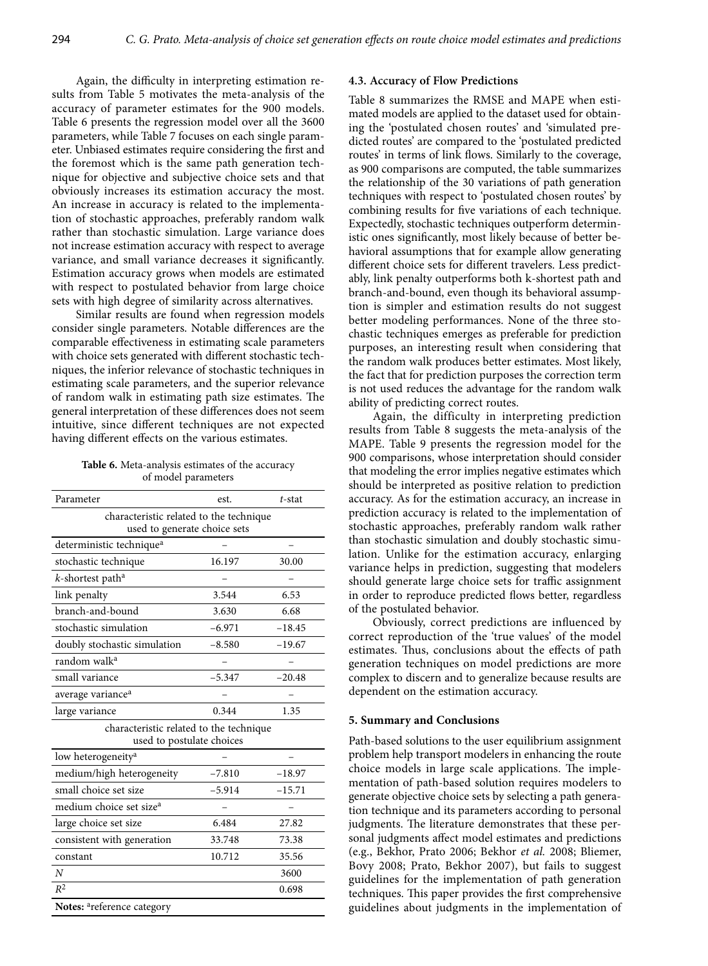Again, the difficulty in interpreting estimation results from Table 5 motivates the meta-analysis of the accuracy of parameter estimates for the 900 models. Table 6 presents the regression model over all the 3600 parameters, while Table 7 focuses on each single parameter. Unbiased estimates require considering the first and the foremost which is the same path generation technique for objective and subjective choice sets and that obviously increases its estimation accuracy the most. An increase in accuracy is related to the implementation of stochastic approaches, preferably random walk rather than stochastic simulation. Large variance does not increase estimation accuracy with respect to average variance, and small variance decreases it significantly. Estimation accuracy grows when models are estimated with respect to postulated behavior from large choice sets with high degree of similarity across alternatives.

Similar results are found when regression models consider single parameters. Notable differences are the comparable effectiveness in estimating scale parameters with choice sets generated with different stochastic techniques, the inferior relevance of stochastic techniques in estimating scale parameters, and the superior relevance of random walk in estimating path size estimates. The general interpretation of these differences does not seem intuitive, since different techniques are not expected having different effects on the various estimates.

**Table 6.** Meta-analysis estimates of the accuracy of model parameters

| Parameter                                                            | est.     | $t$ -stat |  |  |  |  |  |  |
|----------------------------------------------------------------------|----------|-----------|--|--|--|--|--|--|
| characteristic related to the technique                              |          |           |  |  |  |  |  |  |
| used to generate choice sets                                         |          |           |  |  |  |  |  |  |
| deterministic technique <sup>a</sup>                                 |          |           |  |  |  |  |  |  |
| stochastic technique                                                 | 16.197   | 30.00     |  |  |  |  |  |  |
| $k$ -shortest path <sup>a</sup>                                      |          |           |  |  |  |  |  |  |
| link penalty                                                         | 3.544    | 6.53      |  |  |  |  |  |  |
| branch-and-bound                                                     | 3.630    | 6.68      |  |  |  |  |  |  |
| stochastic simulation                                                | $-6.971$ | $-18.45$  |  |  |  |  |  |  |
| doubly stochastic simulation                                         | $-8.580$ | $-19.67$  |  |  |  |  |  |  |
| random walk <sup>a</sup>                                             |          |           |  |  |  |  |  |  |
| small variance                                                       | $-5.347$ | $-20.48$  |  |  |  |  |  |  |
| average variance <sup>a</sup>                                        |          |           |  |  |  |  |  |  |
| large variance                                                       | 0.344    | 1.35      |  |  |  |  |  |  |
| characteristic related to the technique<br>used to postulate choices |          |           |  |  |  |  |  |  |
| low heterogeneity <sup>a</sup>                                       |          |           |  |  |  |  |  |  |
| medium/high heterogeneity                                            | $-7.810$ | $-18.97$  |  |  |  |  |  |  |
| small choice set size                                                | $-5.914$ | $-15.71$  |  |  |  |  |  |  |
| medium choice set size <sup>a</sup>                                  |          |           |  |  |  |  |  |  |
| large choice set size                                                | 6.484    | 27.82     |  |  |  |  |  |  |
| consistent with generation                                           | 33.748   | 73.38     |  |  |  |  |  |  |
| constant                                                             | 10.712   | 35.56     |  |  |  |  |  |  |
| N                                                                    |          | 3600      |  |  |  |  |  |  |
| $R^2$                                                                |          | 0.698     |  |  |  |  |  |  |
| Notes: <sup>a</sup> reference category                               |          |           |  |  |  |  |  |  |
|                                                                      |          |           |  |  |  |  |  |  |

#### **4.3. Accuracy of Flow Predictions**

Table 8 summarizes the RMSE and MAPE when estimated models are applied to the dataset used for obtaining the 'postulated chosen routes' and 'simulated predicted routes' are compared to the 'postulated predicted routes' in terms of link flows. Similarly to the coverage, as 900 comparisons are computed, the table summarizes the relationship of the 30 variations of path generation techniques with respect to 'postulated chosen routes' by combining results for five variations of each technique. Expectedly, stochastic techniques outperform deterministic ones significantly, most likely because of better behavioral assumptions that for example allow generating different choice sets for different travelers. Less predictably, link penalty outperforms both k-shortest path and branch-and-bound, even though its behavioral assumption is simpler and estimation results do not suggest better modeling performances. None of the three stochastic techniques emerges as preferable for prediction purposes, an interesting result when considering that the random walk produces better estimates. Most likely, the fact that for prediction purposes the correction term is not used reduces the advantage for the random walk ability of predicting correct routes.

Again, the difficulty in interpreting prediction results from Table 8 suggests the meta-analysis of the MAPE. Table 9 presents the regression model for the 900 comparisons, whose interpretation should consider that modeling the error implies negative estimates which should be interpreted as positive relation to prediction accuracy. As for the estimation accuracy, an increase in prediction accuracy is related to the implementation of stochastic approaches, preferably random walk rather than stochastic simulation and doubly stochastic simulation. Unlike for the estimation accuracy, enlarging variance helps in prediction, suggesting that modelers should generate large choice sets for traffic assignment in order to reproduce predicted flows better, regardless of the postulated behavior.

Obviously, correct predictions are influenced by correct reproduction of the 'true values' of the model estimates. Thus, conclusions about the effects of path generation techniques on model predictions are more complex to discern and to generalize because results are dependent on the estimation accuracy.

#### **5. Summary and Conclusions**

Path-based solutions to the user equilibrium assignment problem help transport modelers in enhancing the route choice models in large scale applications. The implementation of path-based solution requires modelers to generate objective choice sets by selecting a path generation technique and its parameters according to personal judgments. The literature demonstrates that these personal judgments affect model estimates and predictions (e.g., Bekhor, Prato 2006; Bekhor *et al.* 2008; Bliemer, Bovy 2008; Prato, Bekhor 2007), but fails to suggest guidelines for the implementation of path generation techniques. This paper provides the first comprehensive guidelines about judgments in the implementation of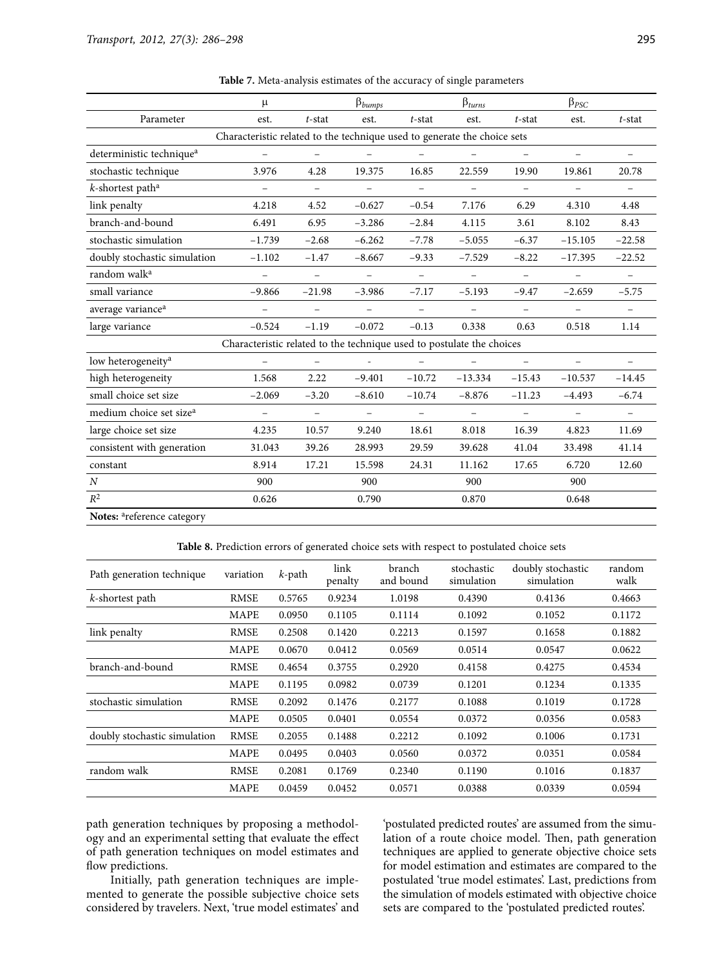$\beta_{\text{bumps}}$   $\beta_{\text{fumps}}$   $\beta_{\text{PSC}}$ Parameter est. *t*-stat est. *t*-stat est. *t*-stat est. *t*-stat Characteristic related to the technique used to generate the choice sets deterministic technique<sup>a</sup> stochastic technique 3.976 4.28 19.375 16.85 22.559 19.90 19.861 20.78 *k*-shortest patha – – – – – – – – link penalty 4.218 4.52 –0.627 –0.54 7.176 6.29 4.310 4.48 branch-and-bound 6.491 6.95 –3.286 –2.84 4.115 3.61 8.102 8.43 stochastic simulation –1.739 –2.68 –6.262 –7.78 –5.055 –6.37 –15.105 –22.58 doubly stochastic simulation –1.102 –1.47 –8.667 –9.33 –7.529 –8.22 –17.395 –22.52 random walk<sup>a</sup> – – – – – – – – – – – – – small variance –9.866 –21.98 –3.986 –7.17 –5.193 –9.47 –2.659 –5.75 average variance<sup>a</sup> – – – – – – – – – – – – – large variance –0.524 –1.19 –0.072 –0.13 0.338 0.63 0.518 1.14 Characteristic related to the technique used to postulate the choices low heterogeneity<sup>a</sup> – – – – – – – – – – – high heterogeneity 1.568 2.22 –9.401 –10.72 –13.334 –15.43 –10.537 –14.45 small choice set size  $-2.069$   $-3.20$   $-8.610$   $-10.74$   $-8.876$   $-11.23$   $-4.493$   $-6.74$ medium choice set size<sup>a</sup> – – – – – – – – large choice set size 4.235 10.57 9.240 18.61 8.018 16.39 4.823 11.69 consistent with generation 31.043 39.26 28.993 29.59 39.628 41.04 33.498 41.14 constant 8.914 17.21 15.598 24.31 11.162 17.65 6.720 12.60 *N* 900 900 900 900 900 900 900 900 *R*<sup>2</sup> 0.626 0.790 0.870 0.870 0.648

**Table 7.** Meta-analysis estimates of the accuracy of single parameters

Notes: <sup>a</sup>reference category

| Path generation technique    | variation   | $k$ -path | link<br>penalty | branch<br>and bound | stochastic<br>simulation | doubly stochastic<br>simulation | random<br>walk |
|------------------------------|-------------|-----------|-----------------|---------------------|--------------------------|---------------------------------|----------------|
| k-shortest path              | <b>RMSE</b> | 0.5765    | 0.9234          | 1.0198              | 0.4390                   | 0.4136                          | 0.4663         |
|                              | <b>MAPE</b> | 0.0950    | 0.1105          | 0.1114              | 0.1092                   | 0.1052                          | 0.1172         |
| link penalty                 | <b>RMSE</b> | 0.2508    | 0.1420          | 0.2213              | 0.1597                   | 0.1658                          | 0.1882         |
|                              | <b>MAPE</b> | 0.0670    | 0.0412          | 0.0569              | 0.0514                   | 0.0547                          | 0.0622         |
| branch-and-bound             | <b>RMSE</b> | 0.4654    | 0.3755          | 0.2920              | 0.4158                   | 0.4275                          | 0.4534         |
|                              | <b>MAPE</b> | 0.1195    | 0.0982          | 0.0739              | 0.1201                   | 0.1234                          | 0.1335         |
| stochastic simulation        | <b>RMSE</b> | 0.2092    | 0.1476          | 0.2177              | 0.1088                   | 0.1019                          | 0.1728         |
|                              | <b>MAPE</b> | 0.0505    | 0.0401          | 0.0554              | 0.0372                   | 0.0356                          | 0.0583         |
| doubly stochastic simulation | <b>RMSE</b> | 0.2055    | 0.1488          | 0.2212              | 0.1092                   | 0.1006                          | 0.1731         |
|                              | <b>MAPE</b> | 0.0495    | 0.0403          | 0.0560              | 0.0372                   | 0.0351                          | 0.0584         |
| random walk                  | <b>RMSE</b> | 0.2081    | 0.1769          | 0.2340              | 0.1190                   | 0.1016                          | 0.1837         |
|                              | <b>MAPE</b> | 0.0459    | 0.0452          | 0.0571              | 0.0388                   | 0.0339                          | 0.0594         |

path generation techniques by proposing a methodology and an experimental setting that evaluate the effect of path generation techniques on model estimates and flow predictions.

Initially, path generation techniques are implemented to generate the possible subjective choice sets considered by travelers. Next, 'true model estimates' and

'postulated predicted routes' are assumed from the simulation of a route choice model. Then, path generation techniques are applied to generate objective choice sets for model estimation and estimates are compared to the postulated 'true model estimates'. Last, predictions from the simulation of models estimated with objective choice sets are compared to the 'postulated predicted routes'.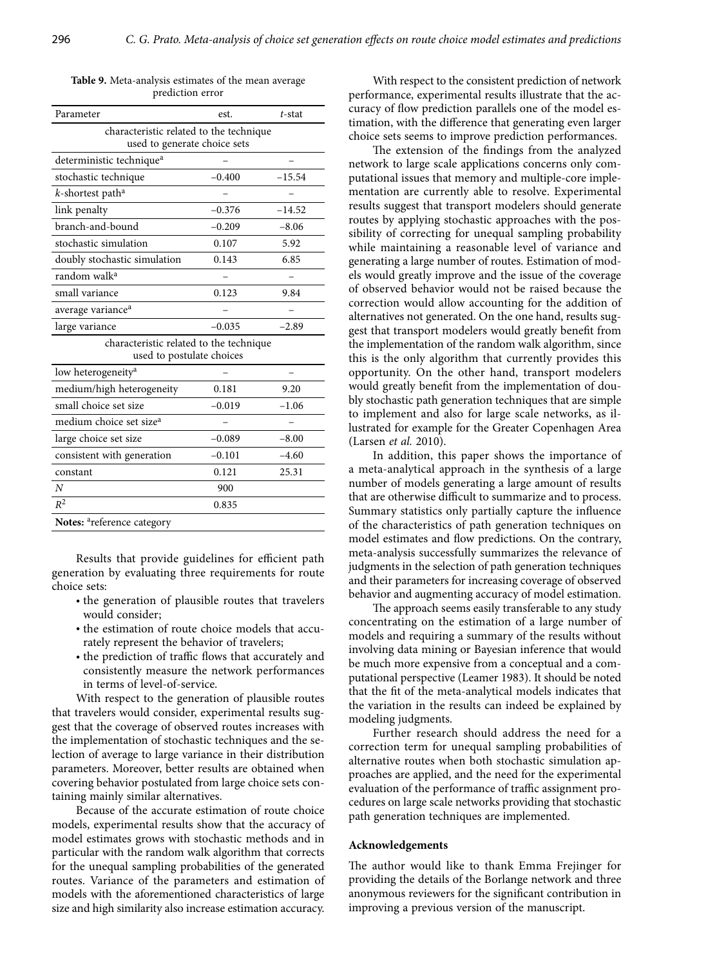| Parameter                               | est.     | $t$ -stat |  |  |  |  |  |  |
|-----------------------------------------|----------|-----------|--|--|--|--|--|--|
| characteristic related to the technique |          |           |  |  |  |  |  |  |
| used to generate choice sets            |          |           |  |  |  |  |  |  |
| deterministic technique <sup>a</sup>    |          |           |  |  |  |  |  |  |
| stochastic technique                    | $-0.400$ | $-15.54$  |  |  |  |  |  |  |
| $k$ -shortest path <sup>a</sup>         |          |           |  |  |  |  |  |  |
| link penalty                            | $-0.376$ | $-14.52$  |  |  |  |  |  |  |
| branch-and-bound                        | $-0.209$ | $-8.06$   |  |  |  |  |  |  |
| stochastic simulation                   | 0.107    | 5.92      |  |  |  |  |  |  |
| doubly stochastic simulation            | 0.143    | 6.85      |  |  |  |  |  |  |
| random walk <sup>a</sup>                |          |           |  |  |  |  |  |  |
| small variance                          | 0.123    | 9.84      |  |  |  |  |  |  |
| average variance <sup>a</sup>           |          |           |  |  |  |  |  |  |
| large variance                          | $-0.035$ | $-2.89$   |  |  |  |  |  |  |
| characteristic related to the technique |          |           |  |  |  |  |  |  |
| used to postulate choices               |          |           |  |  |  |  |  |  |
| low heterogeneity <sup>a</sup>          |          |           |  |  |  |  |  |  |
| medium/high heterogeneity               | 0.181    | 9.20      |  |  |  |  |  |  |
| small choice set size                   | $-0.019$ | $-1.06$   |  |  |  |  |  |  |
| medium choice set size <sup>a</sup>     |          |           |  |  |  |  |  |  |
| large choice set size                   | $-0.089$ | $-8.00$   |  |  |  |  |  |  |
| consistent with generation              | $-0.101$ | $-4.60$   |  |  |  |  |  |  |
| constant                                | 0.121    | 25.31     |  |  |  |  |  |  |
| N                                       | 900      |           |  |  |  |  |  |  |
| $R^2$                                   | 0.835    |           |  |  |  |  |  |  |
| Notes: <sup>a</sup> reference category  |          |           |  |  |  |  |  |  |

**Table 9.** Meta-analysis estimates of the mean average prediction error

Results that provide guidelines for efficient path generation by evaluating three requirements for route choice sets:

- the generation of plausible routes that travelers would consider;
- the estimation of route choice models that accurately represent the behavior of travelers;
- • the prediction of traffic flows that accurately and consistently measure the network performances in terms of level-of-service.

With respect to the generation of plausible routes that travelers would consider, experimental results suggest that the coverage of observed routes increases with the implementation of stochastic techniques and the selection of average to large variance in their distribution parameters. Moreover, better results are obtained when covering behavior postulated from large choice sets containing mainly similar alternatives.

Because of the accurate estimation of route choice models, experimental results show that the accuracy of model estimates grows with stochastic methods and in particular with the random walk algorithm that corrects for the unequal sampling probabilities of the generated routes. Variance of the parameters and estimation of models with the aforementioned characteristics of large size and high similarity also increase estimation accuracy.

With respect to the consistent prediction of network performance, experimental results illustrate that the accuracy of flow prediction parallels one of the model estimation, with the difference that generating even larger choice sets seems to improve prediction performances.

The extension of the findings from the analyzed network to large scale applications concerns only computational issues that memory and multiple-core implementation are currently able to resolve. Experimental results suggest that transport modelers should generate routes by applying stochastic approaches with the possibility of correcting for unequal sampling probability while maintaining a reasonable level of variance and generating a large number of routes. Estimation of models would greatly improve and the issue of the coverage of observed behavior would not be raised because the correction would allow accounting for the addition of alternatives not generated. On the one hand, results suggest that transport modelers would greatly benefit from the implementation of the random walk algorithm, since this is the only algorithm that currently provides this opportunity. On the other hand, transport modelers would greatly benefit from the implementation of doubly stochastic path generation techniques that are simple to implement and also for large scale networks, as illustrated for example for the Greater Copenhagen Area (Larsen *et al.* 2010).

In addition, this paper shows the importance of a meta-analytical approach in the synthesis of a large number of models generating a large amount of results that are otherwise difficult to summarize and to process. Summary statistics only partially capture the influence of the characteristics of path generation techniques on model estimates and flow predictions. On the contrary, meta-analysis successfully summarizes the relevance of judgments in the selection of path generation techniques and their parameters for increasing coverage of observed behavior and augmenting accuracy of model estimation.

The approach seems easily transferable to any study concentrating on the estimation of a large number of models and requiring a summary of the results without involving data mining or Bayesian inference that would be much more expensive from a conceptual and a computational perspective (Leamer 1983). It should be noted that the fit of the meta-analytical models indicates that the variation in the results can indeed be explained by modeling judgments.

Further research should address the need for a correction term for unequal sampling probabilities of alternative routes when both stochastic simulation approaches are applied, and the need for the experimental evaluation of the performance of traffic assignment procedures on large scale networks providing that stochastic path generation techniques are implemented.

#### **Acknowledgements**

The author would like to thank Emma Frejinger for providing the details of the Borlange network and three anonymous reviewers for the significant contribution in improving a previous version of the manuscript.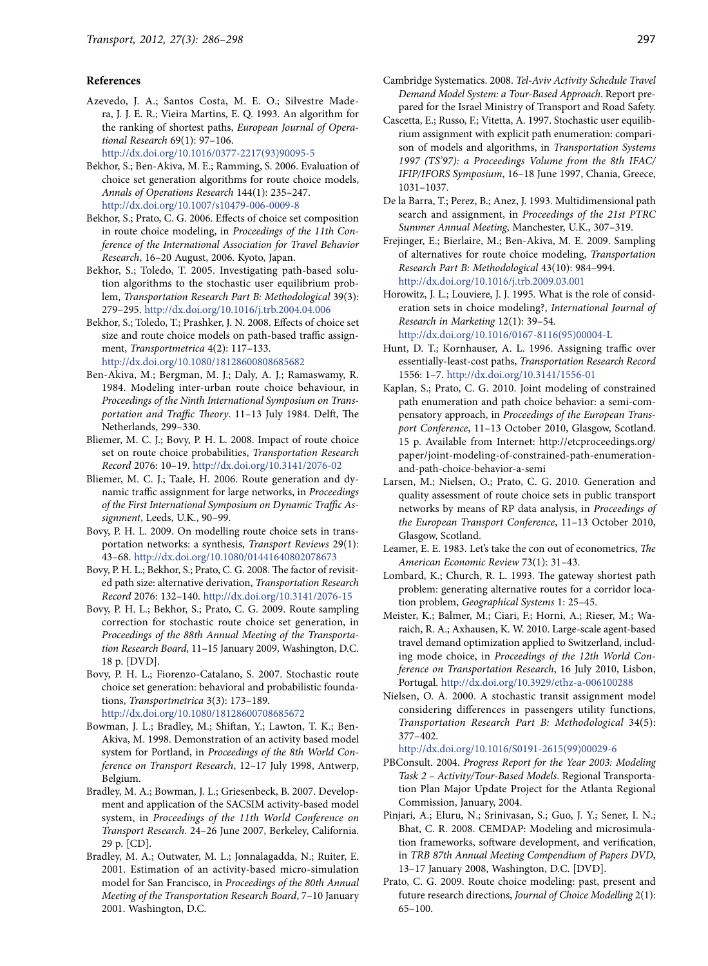#### **References**

Azevedo, J. A.; Santos Costa, M. E. O.; Silvestre Madera, J. J. E. R.; Vieira Martins, E. Q. 1993. An algorithm for the ranking of shortest paths, *European Journal of Operational Research* 69(1): 97–106.

[http://dx.doi.org/10.1016/0377-2217\(93\)90095-5](http://dx.doi.org/10.1016/0377-2217(93)90095-5)

- Bekhor, S.; Ben-Akiva, M. E.; Ramming, S. 2006. Evaluation of choice set generation algorithms for route choice models, *Annals of Operations Research* 144(1): 235–247. <http://dx.doi.org/10.1007/s10479-006-0009-8>
- Bekhor, S.; Prato, C. G. 2006. Effects of choice set composition in route choice modeling, in *Proceedings of the 11th Conference of the International Association for Travel Behavior Research*, 16–20 August, 2006. Kyoto, Japan.
- Bekhor, S.; Toledo, T. 2005. Investigating path-based solution algorithms to the stochastic user equilibrium problem, *Transportation Research Part B: Methodological* 39(3): 279–295. <http://dx.doi.org/10.1016/j.trb.2004.04.006>
- Bekhor, S.; Toledo, T.; Prashker, J. N. 2008. Effects of choice set size and route choice models on path-based traffic assignment, *Transportmetrica* 4(2): 117–133. <http://dx.doi.org/10.1080/18128600808685682>
- Ben-Akiva, M.; Bergman, M. J.; Daly, A. J.; Ramaswamy, R. 1984. Modeling inter-urban route choice behaviour, in *Proceedings of the Ninth International Symposium on Transportation and Traffic Theory*. 11–13 July 1984. Delft, The Netherlands, 299–330.
- Bliemer, M. C. J.; Bovy, P. H. L. 2008. Impact of route choice set on route choice probabilities, *Transportation Research Record* 2076: 10–19.<http://dx.doi.org/10.3141/2076-02>
- Bliemer, M. C. J.; Taale, H. 2006. Route generation and dynamic traffic assignment for large networks, in *Proceedings of the First International Symposium on Dynamic Traffic Assignment*, Leeds, U.K., 90–99.
- Bovy, P. H. L. 2009. On modelling route choice sets in transportation networks: a synthesis, *Transport Reviews* 29(1): 43–68. <http://dx.doi.org/10.1080/01441640802078673>
- Bovy, P. H. L.; Bekhor, S.; Prato, C. G. 2008. The factor of revisited path size: alternative derivation, *Transportation Research Record* 2076: 132–140. <http://dx.doi.org/10.3141/2076-15>
- Bovy, P. H. L.; Bekhor, S.; Prato, C. G. 2009. Route sampling correction for stochastic route choice set generation, in *Proceedings of the 88th Annual Meeting of the Transportation Research Board*, 11–15 January 2009, Washington, D.C. 18 p. [DVD].
- Bovy, P. H. L.; Fiorenzo-Catalano, S. 2007. Stochastic route choice set generation: behavioral and probabilistic foundations, *Transportmetrica* 3(3): 173–189. <http://dx.doi.org/10.1080/18128600708685672>
- Bowman, J. L.; Bradley, M.; Shiftan, Y.; Lawton, T. K.; Ben-Akiva, M. 1998. Demonstration of an activity based model system for Portland, in *Proceedings of the 8th World Conference on Transport Research*, 12–17 July 1998, Antwerp, Belgium.
- Bradley, M. A.; Bowman, J. L.; Griesenbeck, B. 2007. Development and application of the SACSIM activity-based model system, in *Proceedings of the 11th World Conference on Transport Research*. 24–26 June 2007, Berkeley, California. 29 p. [CD].
- Bradley, M. A.; Outwater, M. L.; Jonnalagadda, N.; Ruiter, E. 2001. Estimation of an activity-based micro-simulation model for San Francisco, in *Proceedings of the 80th Annual Meeting of the Transportation Research Board*, 7–10 January 2001. Washington, D.C.
- Cambridge Systematics. 2008. *Tel-Aviv Activity Schedule Travel Demand Model System: a Tour-Based Approach*. Report prepared for the Israel Ministry of Transport and Road Safety.
- Cascetta, E.; Russo, F.; Vitetta, A. 1997. Stochastic user equilibrium assignment with explicit path enumeration: comparison of models and algorithms, in *Transportation Systems 1997 (TS'97): a Proceedings Volume from the 8th IFAC/ IFIP/IFORS Symposium*, 16–18 June 1997, Chania, Greece, 1031–1037.
- De la Barra, T.; Perez, B.; Anez, J. 1993. Multidimensional path search and assignment, in *Proceedings of the 21st PTRC Summer Annual Meeting*, Manchester, U.K., 307–319.
- Frejinger, E.; Bierlaire, M.; Ben-Akiva, M. E. 2009. Sampling of alternatives for route choice modeling, *Transportation Research Part B: Methodological* 43(10): 984–994. <http://dx.doi.org/10.1016/j.trb.2009.03.001>
- Horowitz, J. L.; Louviere, J. J. 1995. What is the role of consideration sets in choice modeling?, *International Journal of Research in Marketing* 12(1): 39–54.

[http://dx.doi.org/10.1016/0167-8116\(95\)00004-L](http://dx.doi.org/10.1016/0167-8116(95)00004-L)

- Hunt, D. T.; Kornhauser, A. L. 1996. Assigning traffic over essentially-least-cost paths, *Transportation Research Record* 1556: 1–7. <http://dx.doi.org/10.3141/1556-01>
- Kaplan, S.; Prato, C. G. 2010. Joint modeling of constrained path enumeration and path choice behavior: a semi-compensatory approach, in *Proceedings of the European Transport Conference*, 11–13 October 2010, Glasgow, Scotland. 15 p. Available from Internet: http://etcproceedings.org/ paper/joint-modeling-of-constrained-path-enumerationand-path-choice-behavior-a-semi
- Larsen, M.; Nielsen, O.; Prato, C. G. 2010. Generation and quality assessment of route choice sets in public transport networks by means of RP data analysis, in *Proceedings of the European Transport Conference*, 11–13 October 2010, Glasgow, Scotland.
- Leamer, E. E. 1983. Let's take the con out of econometrics, *The American Economic Review* 73(1): 31–43.
- Lombard, K.; Church, R. L. 1993. The gateway shortest path problem: generating alternative routes for a corridor location problem, *Geographical Systems* 1: 25–45.
- Meister, K.; Balmer, M.; Ciari, F.; Horni, A.; Rieser, M.; Waraich, R. A.; Axhausen, K. W. 2010. Large-scale agent-based travel demand optimization applied to Switzerland, including mode choice, in *Proceedings of the 12th World Conference on Transportation Research*, 16 July 2010, Lisbon, Portugal.<http://dx.doi.org/10.3929/ethz-a-006100288>
- Nielsen, O. A. 2000. A stochastic transit assignment model considering differences in passengers utility functions, *Transportation Research Part B: Methodological* 34(5): 377–402.

[http://dx.doi.org/10.1016/S0191-2615\(99\)00029-6](http://dx.doi.org/10.1016/S0191-2615(99)00029-6)

- PBConsult. 2004. *Progress Report for the Year 2003: Modeling Task 2 – Activity/Tour-Based Models*. Regional Transportation Plan Major Update Project for the Atlanta Regional Commission, January, 2004.
- Pinjari, A.; Eluru, N.; Srinivasan, S.; Guo, J. Y.; Sener, I. N.; Bhat, C. R. 2008. CEMDAP: Modeling and microsimulation frameworks, software development, and verification, in *TRB 87th Annual Meeting Compendium of Papers DVD*, 13–17 January 2008, Washington, D.C. [DVD].
- Prato, C. G. 2009. Route choice modeling: past, present and future research directions, *Journal of Choice Modelling* 2(1): 65–100.